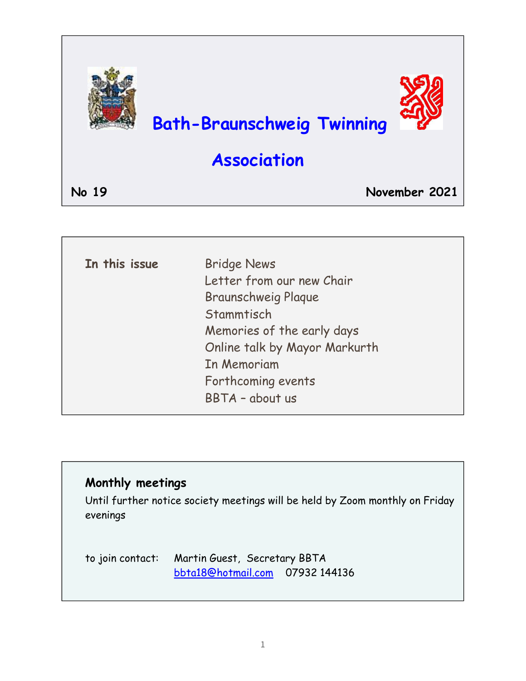

| In this issue | <b>Bridge News</b>            |
|---------------|-------------------------------|
|               | Letter from our new Chair     |
|               | <b>Braunschweig Plaque</b>    |
|               | Stammtisch                    |
|               | Memories of the early days    |
|               | Online talk by Mayor Markurth |
|               | In Memoriam                   |
|               | Forthcoming events            |
|               | BBTA - about us               |
|               |                               |

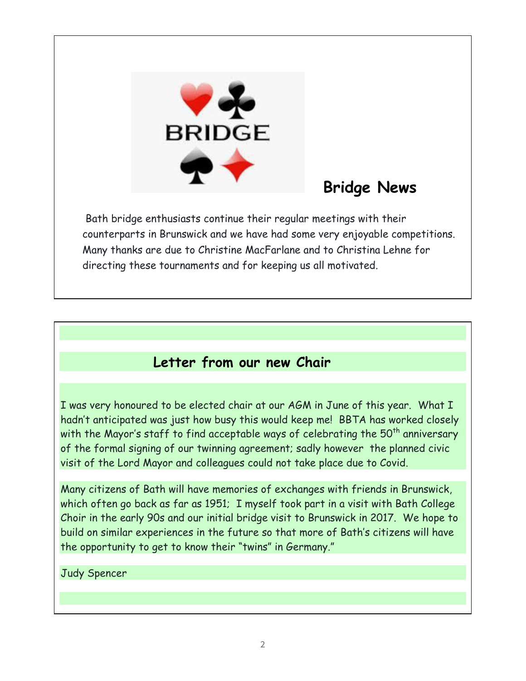

# **Bridge News**

 Bath bridge enthusiasts continue their regular meetings with their counterparts in Brunswick and we have had some very enjoyable competitions. Many thanks are due to Christine MacFarlane and to Christina Lehne for directing these tournaments and for keeping us all motivated.

# **Letter from our new Chair**

I was very honoured to be elected chair at our AGM in June of this year. What I hadn't anticipated was just how busy this would keep me! BBTA has worked closely with the Mayor's staff to find acceptable ways of celebrating the  $50<sup>th</sup>$  anniversary of the formal signing of our twinning agreement; sadly however the planned civic visit of the Lord Mayor and colleagues could not take place due to Covid.

Many citizens of Bath will have memories of exchanges with friends in Brunswick, which often go back as far as 1951; I myself took part in a visit with Bath College Choir in the early 90s and our initial bridge visit to Brunswick in 2017. We hope to build on similar experiences in the future so that more of Bath's citizens will have the opportunity to get to know their "twins" in Germany."

#### Judy Spencer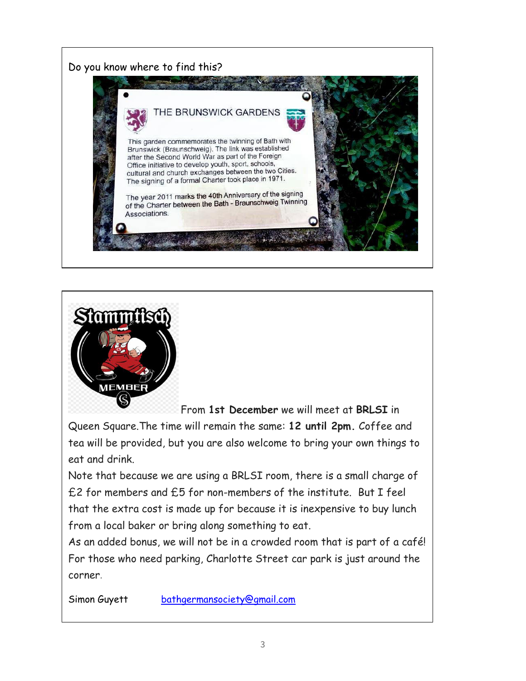



From **1st December** we will meet at **BRLSI** in

Queen Square.The time will remain the same: **12 until 2pm.** Coffee and tea will be provided, but you are also welcome to bring your own things to eat and drink.

Note that because we are using a BRLSI room, there is a small charge of £2 for members and £5 for non-members of the institute. But I feel that the extra cost is made up for because it is inexpensive to buy lunch from a local baker or bring along something to eat.

As an added bonus, we will not be in a crowded room that is part of a café! For those who need parking, Charlotte Street car park is just around the corner.

Simon Guyett [bathgermansociety@gmail.com](mailto:bathgermansociety@gmail.com)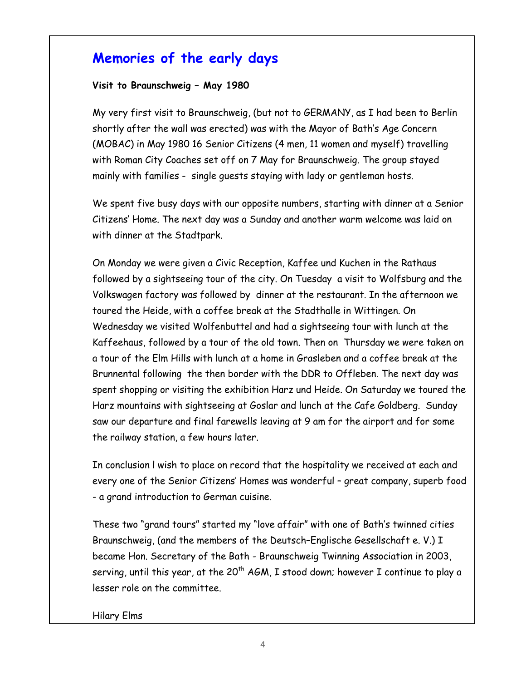## **Memories of the early days**

#### **Visit to Braunschweig – May 1980**

My very first visit to Braunschweig, (but not to GERMANY, as I had been to Berlin shortly after the wall was erected) was with the Mayor of Bath's Age Concern (MOBAC) in May 1980 16 Senior Citizens (4 men, 11 women and myself) travelling with Roman City Coaches set off on 7 May for Braunschweig. The group stayed mainly with families - single guests staying with lady or gentleman hosts.

We spent five busy days with our opposite numbers, starting with dinner at a Senior Citizens' Home. The next day was a Sunday and another warm welcome was laid on with dinner at the Stadtpark.

On Monday we were given a Civic Reception, Kaffee und Kuchen in the Rathaus followed by a sightseeing tour of the city. On Tuesday a visit to Wolfsburg and the Volkswagen factory was followed by dinner at the restaurant. In the afternoon we toured the Heide, with a coffee break at the Stadthalle in Wittingen. On Wednesday we visited Wolfenbuttel and had a sightseeing tour with lunch at the Kaffeehaus, followed by a tour of the old town. Then on Thursday we were taken on a tour of the Elm Hills with lunch at a home in Grasleben and a coffee break at the Brunnental following the then border with the DDR to Offleben. The next day was spent shopping or visiting the exhibition Harz und Heide. On Saturday we toured the Harz mountains with sightseeing at Goslar and lunch at the Cafe Goldberg. Sunday saw our departure and final farewells leaving at 9 am for the airport and for some the railway station, a few hours later.

In conclusion l wish to place on record that the hospitality we received at each and every one of the Senior Citizens' Homes was wonderful – great company, superb food - a grand introduction to German cuisine.

These two "grand tours" started my "love affair" with one of Bath's twinned cities Braunschweig, (and the members of the Deutsch–Englische Gesellschaft e. V.) I became Hon. Secretary of the Bath - Braunschweig Twinning Association in 2003, serving, until this year, at the 20<sup>th</sup> AGM, I stood down; however I continue to play a lesser role on the committee.

Hilary Elms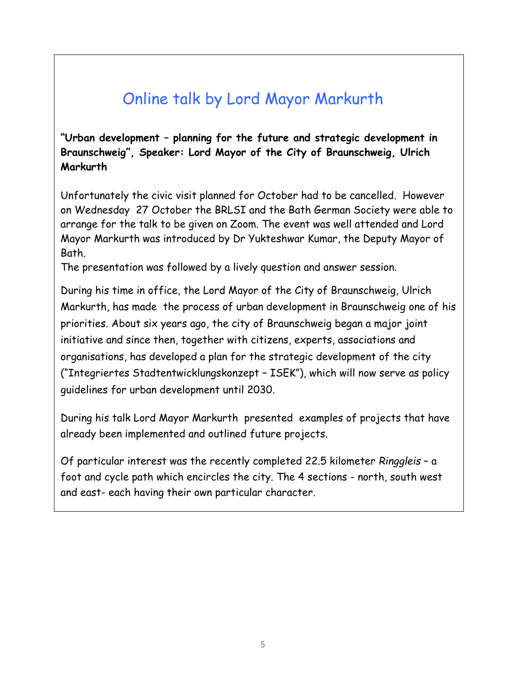# Online talk by Lord Mayor Markurth

**"Urban development – planning for the future and strategic development in Braunschweig", Speaker: Lord Mayor of the City of Braunschweig, Ulrich Markurth**

Unfortunately the civic visit planned for October had to be cancelled. However on Wednesday 27 October the BRLSI and the Bath German Society were able to arrange for the talk to be given on Zoom. The event was well attended and Lord Mayor Markurth was introduced by Dr Yukteshwar Kumar, the Deputy Mayor of Bath.

The presentation was followed by a lively question and answer session.

During his time in office, the Lord Mayor of the City of Braunschweig, Ulrich Markurth, has made the process of urban development in Braunschweig one of his priorities. About six years ago, the city of Braunschweig began a major joint initiative and since then, together with citizens, experts, associations and organisations, has developed a plan for the strategic development of the city ("Integriertes Stadtentwicklungskonzept – ISEK"), which will now serve as policy guidelines for urban development until 2030.

During his talk Lord Mayor Markurth presented examples of projects that have already been implemented and outlined future projects.

Of particular interest was the recently completed 22.5 kilometer *Ringgleis* – a foot and cycle path which encircles the city. The 4 sections - north, south west and east- each having their own particular character.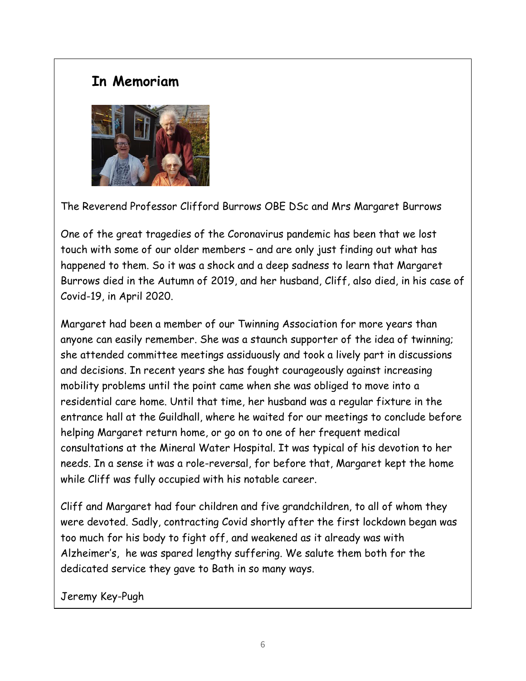## **In Memoriam**



The Reverend Professor Clifford Burrows OBE DSc and Mrs Margaret Burrows

One of the great tragedies of the Coronavirus pandemic has been that we lost touch with some of our older members – and are only just finding out what has happened to them. So it was a shock and a deep sadness to learn that Margaret Burrows died in the Autumn of 2019, and her husband, Cliff, also died, in his case of Covid-19, in April 2020.

Margaret had been a member of our Twinning Association for more years than anyone can easily remember. She was a staunch supporter of the idea of twinning; she attended committee meetings assiduously and took a lively part in discussions and decisions. In recent years she has fought courageously against increasing mobility problems until the point came when she was obliged to move into a residential care home. Until that time, her husband was a regular fixture in the entrance hall at the Guildhall, where he waited for our meetings to conclude before helping Margaret return home, or go on to one of her frequent medical consultations at the Mineral Water Hospital. It was typical of his devotion to her needs. In a sense it was a role-reversal, for before that, Margaret kept the home while Cliff was fully occupied with his notable career.

Cliff and Margaret had four children and five grandchildren, to all of whom they were devoted. Sadly, contracting Covid shortly after the first lockdown began was too much for his body to fight off, and weakened as it already was with Alzheimer's, he was spared lengthy suffering. We salute them both for the dedicated service they gave to Bath in so many ways.

Jeremy Key-Pugh